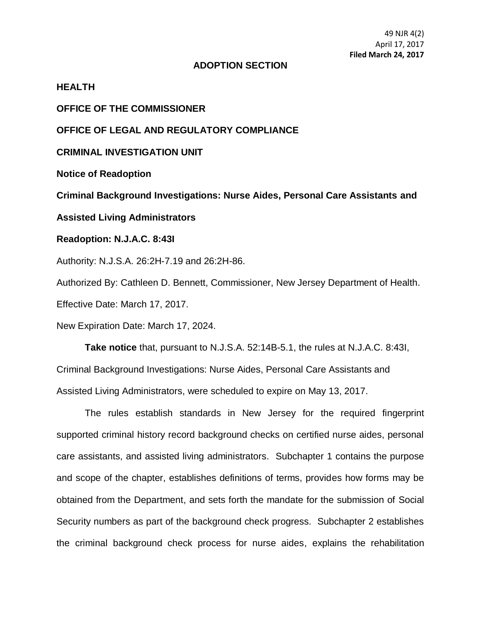49 NJR 4(2) April 17, 2017 **Filed March 24, 2017**

#### **ADOPTION SECTION**

# **HEALTH**

#### **OFFICE OF THE COMMISSIONER**

## **OFFICE OF LEGAL AND REGULATORY COMPLIANCE**

#### **CRIMINAL INVESTIGATION UNIT**

**Notice of Readoption**

**Criminal Background Investigations: Nurse Aides, Personal Care Assistants and** 

**Assisted Living Administrators** 

## **Readoption: N.J.A.C. 8:43I**

Authority: N.J.S.A. 26:2H-7.19 and 26:2H-86.

Authorized By: Cathleen D. Bennett, Commissioner, New Jersey Department of Health. Effective Date: March 17, 2017.

New Expiration Date: March 17, 2024.

**Take notice** that, pursuant to N.J.S.A. 52:14B-5.1, the rules at N.J.A.C. 8:43I, Criminal Background Investigations: Nurse Aides, Personal Care Assistants and Assisted Living Administrators, were scheduled to expire on May 13, 2017.

The rules establish standards in New Jersey for the required fingerprint supported criminal history record background checks on certified nurse aides, personal care assistants, and assisted living administrators. Subchapter 1 contains the purpose and scope of the chapter, establishes definitions of terms, provides how forms may be obtained from the Department, and sets forth the mandate for the submission of Social Security numbers as part of the background check progress. Subchapter 2 establishes the criminal background check process for nurse aides, explains the rehabilitation